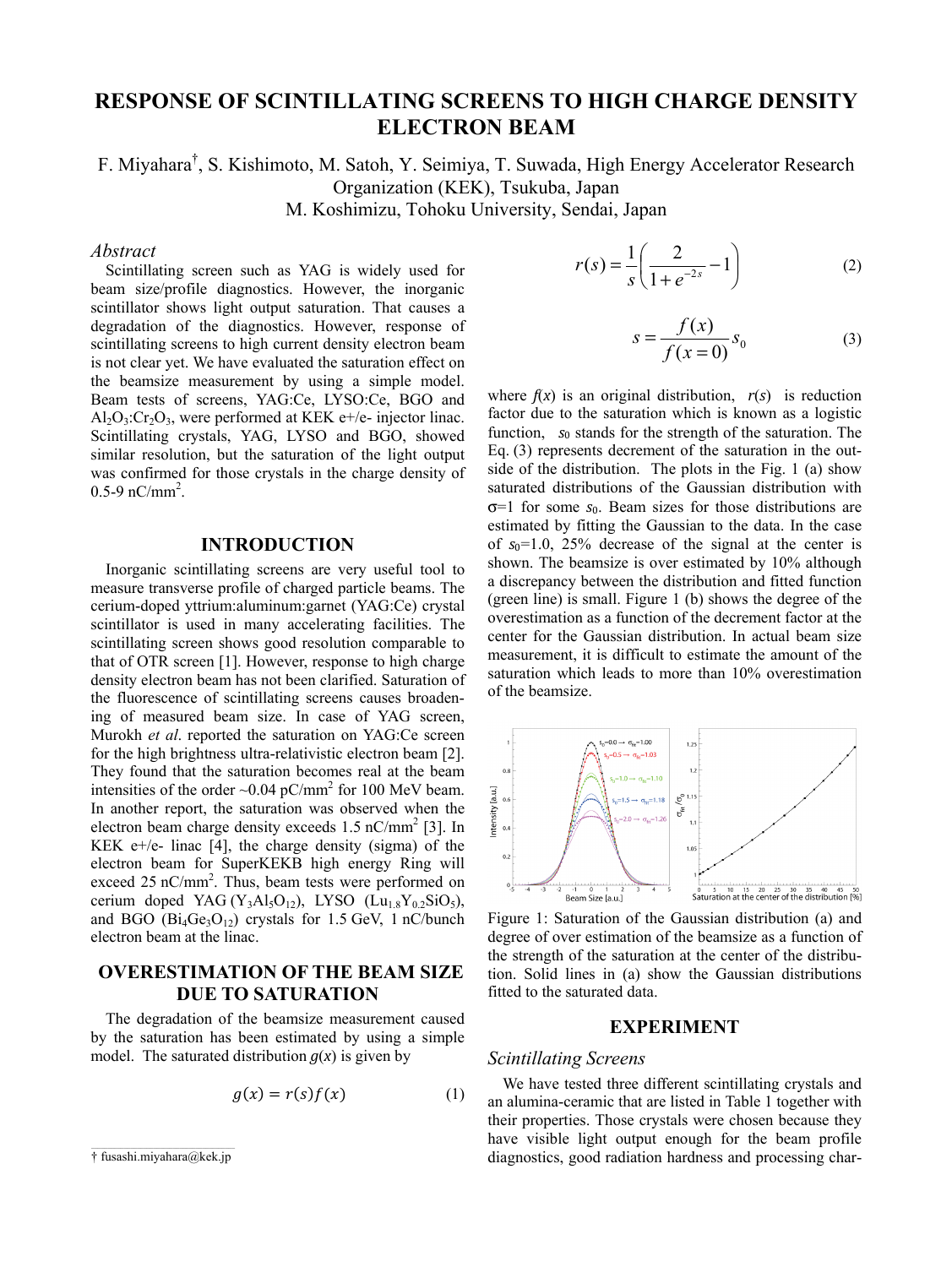# **RESPONSE OF SCINTILLATING SCREENS TO HIGH CHARGE DENSITY ELECTRON BEAM**

F. Miyahara† , S. Kishimoto, M. Satoh, Y. Seimiya, T. Suwada, High Energy Accelerator Research Organization (KEK), Tsukuba, Japan

M. Koshimizu, Tohoku University, Sendai, Japan

### *Abstract*

Scintillating screen such as YAG is widely used for beam size/profile diagnostics. However, the inorganic scintillator shows light output saturation. That causes a degradation of the diagnostics. However, response of scintillating screens to high current density electron beam is not clear yet. We have evaluated the saturation effect on the beamsize measurement by using a simple model. Beam tests of screens, YAG:Ce, LYSO:Ce, BGO and  $Al_2O_3$ : $Cr_2O_3$ , were performed at KEK e+/e- injector linac. Scintillating crystals, YAG, LYSO and BGO, showed similar resolution, but the saturation of the light output was confirmed for those crystals in the charge density of  $0.5-9$  nC/mm<sup>2</sup>.

## **INTRODUCTION**

Inorganic scintillating screens are very useful tool to measure transverse profile of charged particle beams. The cerium-doped yttrium:aluminum:garnet (YAG:Ce) crystal scintillator is used in many accelerating facilities. The scintillating screen shows good resolution comparable to that of OTR screen [1]. However, response to high charge density electron beam has not been clarified. Saturation of the fluorescence of scintillating screens causes broadening of measured beam size. In case of YAG screen, Murokh *et al*. reported the saturation on YAG:Ce screen for the high brightness ultra-relativistic electron beam [2]. They found that the saturation becomes real at the beam intensities of the order  $\sim 0.04$  pC/mm<sup>2</sup> for 100 MeV beam. In another report, the saturation was observed when the electron beam charge density exceeds  $1.5 \text{ nC/mm}^2$  [3]. In KEK  $e+/e-$  linac [4], the charge density (sigma) of the electron beam for SuperKEKB high energy Ring will exceed 25 nC/mm<sup>2</sup>. Thus, beam tests were performed on cerium doped YAG (Y<sub>3</sub>Al<sub>5</sub>O<sub>12</sub>), LYSO (Lu<sub>1.8</sub>Y<sub>0.2</sub>SiO<sub>5</sub>), and BGO  $(Bi_4Ge_3O_{12})$  crystals for 1.5 GeV, 1 nC/bunch electron beam at the linac.

# **OVERESTIMATION OF THE BEAM SIZE DUE TO SATURATION**

The degradation of the beamsize measurement caused by the saturation has been estimated by using a simple model. The saturated distribution  $g(x)$  is given by

$$
g(x) = r(s)f(x) \tag{1}
$$

† fusashi.miyahara@kek.jp

$$
r(s) = \frac{1}{s} \left( \frac{2}{1 + e^{-2s}} - 1 \right)
$$
 (2)

$$
s = \frac{f(x)}{f(x=0)} s_0 \tag{3}
$$

where  $f(x)$  is an original distribution,  $r(s)$  is reduction factor due to the saturation which is known as a logistic function,  $s_0$  stands for the strength of the saturation. The Eq. (3) represents decrement of the saturation in the outside of the distribution. The plots in the Fig. 1 (a) show saturated distributions of the Gaussian distribution with σ=1 for some *s*0. Beam sizes for those distributions are estimated by fitting the Gaussian to the data. In the case of  $s_0$ =1.0, 25% decrease of the signal at the center is shown. The beamsize is over estimated by 10% although a discrepancy between the distribution and fitted function (green line) is small. Figure 1 (b) shows the degree of the overestimation as a function of the decrement factor at the center for the Gaussian distribution. In actual beam size measurement, it is difficult to estimate the amount of the saturation which leads to more than 10% overestimation of the beamsize.



Figure 1: Saturation of the Gaussian distribution (a) and degree of over estimation of the beamsize as a function of the strength of the saturation at the center of the distribution. Solid lines in (a) show the Gaussian distributions fitted to the saturated data.

#### **EXPERIMENT**

## *Scintillating Screens*

We have tested three different scintillating crystals and an alumina-ceramic that are listed in Table 1 together with their properties. Those crystals were chosen because they have visible light output enough for the beam profile diagnostics, good radiation hardness and processing char-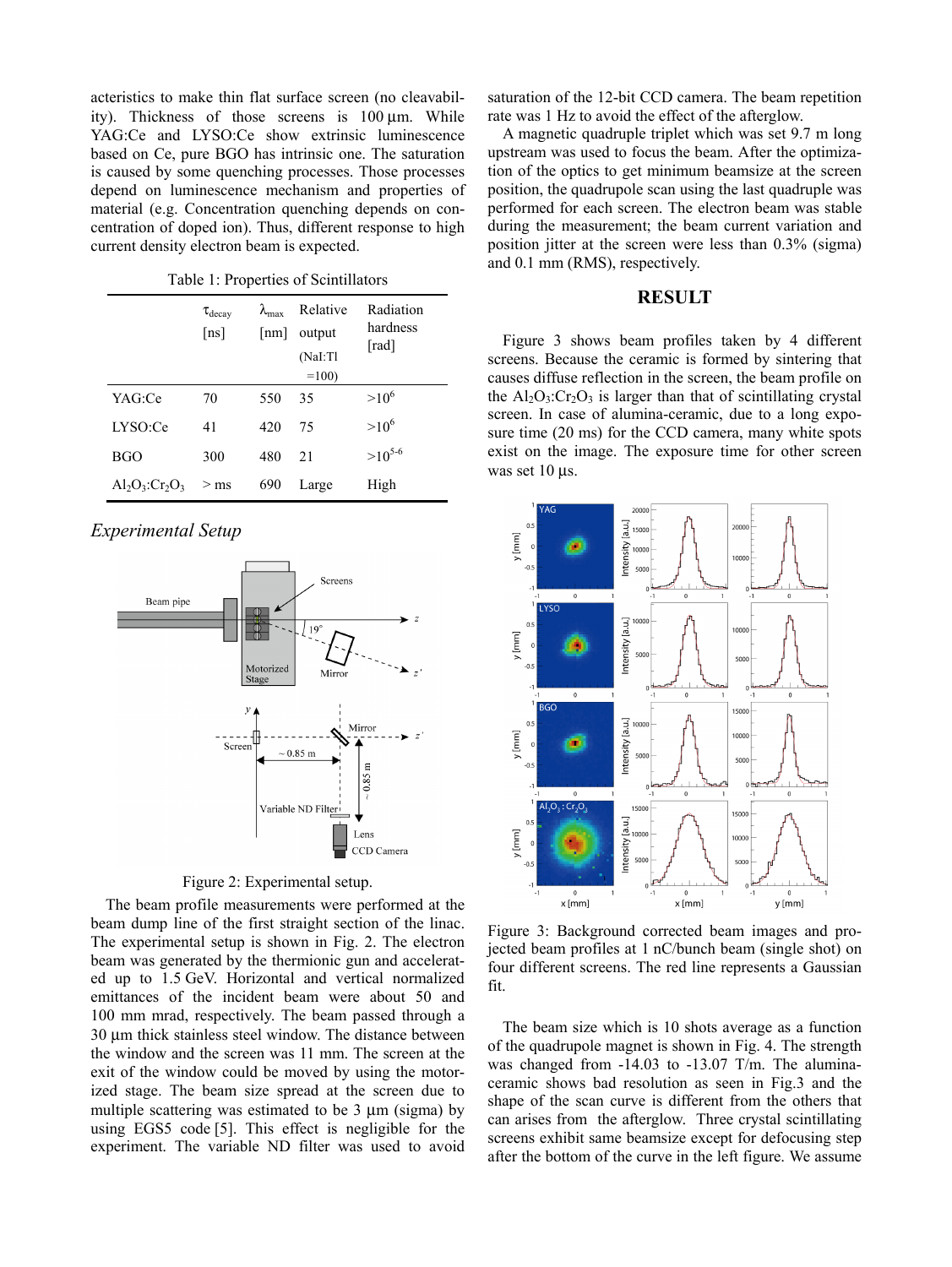acteristics to make thin flat surface screen (no cleavability). Thickness of those screens is 100 μm. While YAG:Ce and LYSO:Ce show extrinsic luminescence based on Ce, pure BGO has intrinsic one. The saturation is caused by some quenching processes. Those processes depend on luminescence mechanism and properties of material (e.g. Concentration quenching depends on concentration of doped ion). Thus, different response to high current density electron beam is expected.

Table 1: Properties of Scintillators

|                       | $\tau_{\rm decay}$<br>[ns] | $\lambda_{\text{max}}$<br>$\lceil nm \rceil$ | Relative<br>output<br>(NaI:Tl<br>$=100$ | Radiation<br>hardness<br>[rad] |
|-----------------------|----------------------------|----------------------------------------------|-----------------------------------------|--------------------------------|
| YAG:Ce                | 70                         | 550                                          | 35                                      | $>10^6$                        |
| LYSO:Ce               | 41                         | 420                                          | 75                                      | $>10^{6}$                      |
| <b>BGO</b>            | 300                        | 480                                          | 21                                      | $>10^{5-6}$                    |
| $Al_2O_3$ : $Cr_2O_3$ | $>$ ms                     | 690                                          | Large                                   | High                           |

# *Experimental Setup*



Figure 2: Experimental setup.

The beam profile measurements were performed at the beam dump line of the first straight section of the linac. The experimental setup is shown in Fig. 2. The electron beam was generated by the thermionic gun and accelerated up to 1.5 GeV. Horizontal and vertical normalized emittances of the incident beam were about 50 and 100 mm mrad, respectively. The beam passed through a 30 μm thick stainless steel window. The distance between the window and the screen was 11 mm. The screen at the exit of the window could be moved by using the motorized stage. The beam size spread at the screen due to multiple scattering was estimated to be 3 μm (sigma) by using EGS5 code [5]. This effect is negligible for the experiment. The variable ND filter was used to avoid

saturation of the 12-bit CCD camera. The beam repetition rate was 1 Hz to avoid the effect of the afterglow.

A magnetic quadruple triplet which was set 9.7 m long upstream was used to focus the beam. After the optimization of the optics to get minimum beamsize at the screen position, the quadrupole scan using the last quadruple was performed for each screen. The electron beam was stable during the measurement; the beam current variation and position jitter at the screen were less than 0.3% (sigma) and 0.1 mm (RMS), respectively.

#### **RESULT**

Figure 3 shows beam profiles taken by 4 different screens. Because the ceramic is formed by sintering that causes diffuse reflection in the screen, the beam profile on the  $Al_2O_3$ : $Cr_2O_3$  is larger than that of scintillating crystal screen. In case of alumina-ceramic, due to a long exposure time (20 ms) for the CCD camera, many white spots exist on the image. The exposure time for other screen was set 10 μs.



Figure 3: Background corrected beam images and projected beam profiles at 1 nC/bunch beam (single shot) on four different screens. The red line represents a Gaussian fit.

The beam size which is 10 shots average as a function of the quadrupole magnet is shown in Fig. 4. The strength was changed from -14.03 to -13.07 T/m. The aluminaceramic shows bad resolution as seen in Fig.3 and the shape of the scan curve is different from the others that can arises from the afterglow. Three crystal scintillating screens exhibit same beamsize except for defocusing step after the bottom of the curve in the left figure. We assume